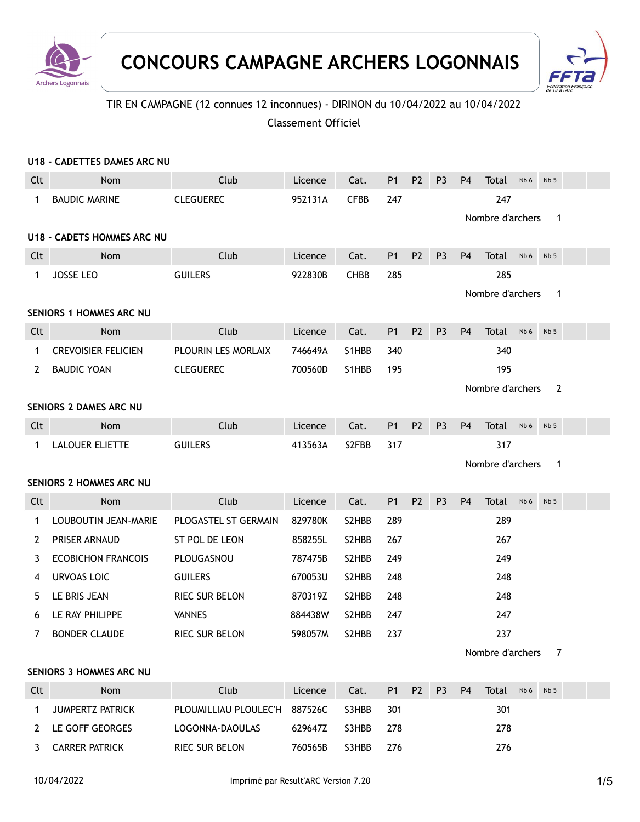



# TIR EN CAMPAGNE (12 connues 12 inconnues) - DIRINON du 10/04/2022 au 10/04/2022

Classement Officiel

|              | U18 - CADETTES DAMES ARC NU       |                       |         |             |                |                |                |                |                         |      |                 |  |
|--------------|-----------------------------------|-----------------------|---------|-------------|----------------|----------------|----------------|----------------|-------------------------|------|-----------------|--|
| Clt          | Nom                               | Club                  | Licence | Cat.        | P1             | P <sub>2</sub> | P <sub>3</sub> | <b>P4</b>      | Total                   | Nb 6 | Nb <sub>5</sub> |  |
| 1            | <b>BAUDIC MARINE</b>              | <b>CLEGUEREC</b>      | 952131A | <b>CFBB</b> | 247            |                |                |                | 247<br>Nombre d'archers |      | 1               |  |
|              | <b>U18 - CADETS HOMMES ARC NU</b> |                       |         |             |                |                |                |                |                         |      |                 |  |
| Clt          | Nom                               | Club                  | Licence | Cat.        | P <sub>1</sub> | P <sub>2</sub> | P <sub>3</sub> | <b>P4</b>      | Total                   | Nb 6 | Nb <sub>5</sub> |  |
| 1            | <b>JOSSE LEO</b>                  | <b>GUILERS</b>        | 922830B | <b>CHBB</b> | 285            |                |                |                | 285                     |      |                 |  |
|              |                                   |                       |         |             |                |                |                |                | Nombre d'archers        |      | $\mathbf{1}$    |  |
|              | <b>SENIORS 1 HOMMES ARC NU</b>    |                       |         |             |                |                |                |                |                         |      |                 |  |
| Clt          | Nom                               | Club                  | Licence | Cat.        | P1             | <b>P2</b>      | P <sub>3</sub> | P <sub>4</sub> | Total                   | Nb 6 | Nb <sub>5</sub> |  |
| $\mathbf{1}$ | <b>CREVOISIER FELICIEN</b>        | PLOURIN LES MORLAIX   | 746649A | S1HBB       | 340            |                |                |                | 340                     |      |                 |  |
| 2            | <b>BAUDIC YOAN</b>                | <b>CLEGUEREC</b>      | 700560D | S1HBB       | 195            |                |                |                | 195                     |      |                 |  |
|              |                                   |                       |         |             |                |                |                |                | Nombre d'archers        |      | 2               |  |
|              | SENIORS 2 DAMES ARC NU            |                       |         |             |                |                |                |                |                         |      |                 |  |
| Clt          | Nom                               | Club                  | Licence | Cat.        | <b>P1</b>      | P <sub>2</sub> | P <sub>3</sub> | <b>P4</b>      | Total                   | Nb 6 | Nb <sub>5</sub> |  |
| 1            | <b>LALOUER ELIETTE</b>            | <b>GUILERS</b>        | 413563A | S2FBB       | 317            |                |                |                | 317                     |      |                 |  |
|              |                                   |                       |         |             |                |                |                |                | Nombre d'archers        |      | $\mathbf{1}$    |  |
|              | SENIORS 2 HOMMES ARC NU           |                       |         |             |                |                |                |                |                         |      |                 |  |
| Clt          | Nom                               | Club                  | Licence | Cat.        | P1             | P <sub>2</sub> | P <sub>3</sub> | <b>P4</b>      | Total                   | Nb 6 | Nb <sub>5</sub> |  |
| 1            | LOUBOUTIN JEAN-MARIE              | PLOGASTEL ST GERMAIN  | 829780K | S2HBB       | 289            |                |                |                | 289                     |      |                 |  |
| 2            | PRISER ARNAUD                     | ST POL DE LEON        | 858255L | S2HBB       | 267            |                |                |                | 267                     |      |                 |  |
| 3            | <b>ECOBICHON FRANCOIS</b>         | PLOUGASNOU            | 787475B | S2HBB       | 249            |                |                |                | 249                     |      |                 |  |
| 4            | <b>URVOAS LOIC</b>                | <b>GUILERS</b>        | 670053U | S2HBB       | 248            |                |                |                | 248                     |      |                 |  |
| 5            | LE BRIS JEAN                      | <b>RIEC SUR BELON</b> | 870319Z | S2HBB       | 248            |                |                |                | 248                     |      |                 |  |
| 6            | LE RAY PHILIPPE                   | <b>VANNES</b>         | 884438W | S2HBB       | 247            |                |                |                | 247                     |      |                 |  |
|              | 7 BONDER CLAUDE                   | RIEC SUR BELON        | 598057M | S2HBB       | 237            |                |                |                | 237                     |      |                 |  |
|              |                                   |                       |         |             |                |                |                |                | Nombre d'archers        |      | 7               |  |
|              | <b>SENIORS 3 HOMMES ARC NU</b>    |                       |         |             |                |                |                |                |                         |      |                 |  |
| Clt          | Nom                               | Club                  | Licence | Cat.        | P <sub>1</sub> | P <sub>2</sub> | P <sub>3</sub> | P <sub>4</sub> | Total                   | Nb 6 | Nb <sub>5</sub> |  |
| $\mathbf{1}$ | JUMPERTZ PATRICK                  | PLOUMILLIAU PLOULEC'H | 887526C | S3HBB       | 301            |                |                |                | 301                     |      |                 |  |
| $\mathbf{2}$ | LE GOFF GEORGES                   | LOGONNA-DAOULAS       | 629647Z | S3HBB       | 278            |                |                |                | 278                     |      |                 |  |
| 3            | <b>CARRER PATRICK</b>             | RIEC SUR BELON        | 760565B | S3HBB       | 276            |                |                |                | 276                     |      |                 |  |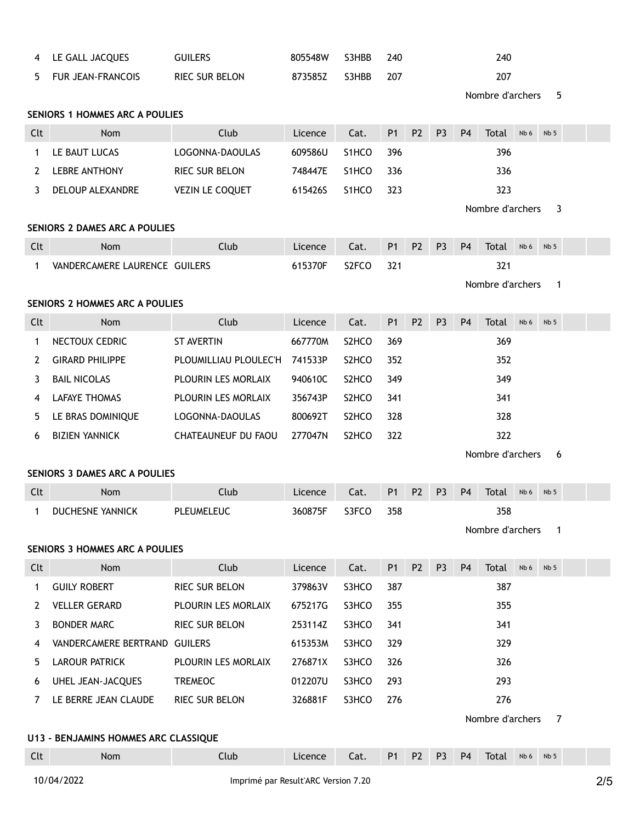| 4           | LE GALL JACQUES                       | <b>GUILERS</b>        | 805548W | S3HBB              | 240            |                |                |                | 240              |      |                 |  |
|-------------|---------------------------------------|-----------------------|---------|--------------------|----------------|----------------|----------------|----------------|------------------|------|-----------------|--|
| 5.          | <b>FUR JEAN-FRANCOIS</b>              | RIEC SUR BELON        | 873585Z | S3HBB              | 207            |                |                |                | 207              |      |                 |  |
|             |                                       |                       |         |                    |                |                |                |                | Nombre d'archers |      | 5               |  |
|             | <b>SENIORS 1 HOMMES ARC A POULIES</b> |                       |         |                    |                |                |                |                |                  |      |                 |  |
| Clt         | Nom                                   | Club                  | Licence | Cat.               | P <sub>1</sub> | P <sub>2</sub> | P <sub>3</sub> | P <sub>4</sub> | Total            | Nb 6 | Nb <sub>5</sub> |  |
| 1           | LE BAUT LUCAS                         | LOGONNA-DAOULAS       | 609586U | S1HCO              | 396            |                |                |                | 396              |      |                 |  |
| 2           | <b>LEBRE ANTHONY</b>                  | RIEC SUR BELON        | 748447E | S1HCO              | 336            |                |                |                | 336              |      |                 |  |
| 3           | DELOUP ALEXANDRE                      | VEZIN LE COQUET       | 615426S | S1HCO              | 323            |                |                |                | 323              |      |                 |  |
|             |                                       |                       |         |                    |                |                |                |                | Nombre d'archers |      | 3               |  |
|             | <b>SENIORS 2 DAMES ARC A POULIES</b>  |                       |         |                    |                |                |                |                |                  |      |                 |  |
| Clt         | <b>Nom</b>                            | Club                  | Licence | Cat.               | <b>P1</b>      | P <sub>2</sub> | P <sub>3</sub> | P <sub>4</sub> | Total            | Nb 6 | Nb <sub>5</sub> |  |
| 1           | VANDERCAMERE LAURENCE GUILERS         |                       | 615370F | S <sub>2</sub> FCO | 321            |                |                |                | 321              |      |                 |  |
|             |                                       |                       |         |                    |                |                |                |                | Nombre d'archers |      | 1               |  |
|             | <b>SENIORS 2 HOMMES ARC A POULIES</b> |                       |         |                    |                |                |                |                |                  |      |                 |  |
| Clt         | <b>Nom</b>                            | Club                  | Licence | Cat.               | P <sub>1</sub> | P <sub>2</sub> | P <sub>3</sub> | P <sub>4</sub> | Total            | Nb 6 | Nb <sub>5</sub> |  |
| 1           | NECTOUX CEDRIC                        | <b>ST AVERTIN</b>     | 667770M | S <sub>2</sub> HCO | 369            |                |                |                | 369              |      |                 |  |
| 2           | <b>GIRARD PHILIPPE</b>                | PLOUMILLIAU PLOULEC'H | 741533P | S <sub>2</sub> HCO | 352            |                |                |                | 352              |      |                 |  |
| 3           | <b>BAIL NICOLAS</b>                   | PLOURIN LES MORLAIX   | 940610C | S <sub>2</sub> HCO | 349            |                |                |                | 349              |      |                 |  |
| 4           | <b>LAFAYE THOMAS</b>                  | PLOURIN LES MORLAIX   | 356743P | S <sub>2</sub> HCO | 341            |                |                |                | 341              |      |                 |  |
| 5           | LE BRAS DOMINIQUE                     | LOGONNA-DAOULAS       | 800692T | S <sub>2</sub> HCO | 328            |                |                |                | 328              |      |                 |  |
| 6           | <b>BIZIEN YANNICK</b>                 | CHATEAUNEUF DU FAOU   | 277047N | S <sub>2</sub> HCO | 322            |                |                |                | 322              |      |                 |  |
|             |                                       |                       |         |                    |                |                |                |                | Nombre d'archers |      | 6               |  |
|             | <b>SENIORS 3 DAMES ARC A POULIES</b>  |                       |         |                    |                |                |                |                |                  |      |                 |  |
| Clt         | <b>Nom</b>                            | Club                  | Licence | Cat.               | P <sub>1</sub> | P <sub>2</sub> | P <sub>3</sub> | P <sub>4</sub> | Total            | Nb 6 | Nb <sub>5</sub> |  |
| 1           | <b>DUCHESNE YANNICK</b>               | <b>PLEUMELEUC</b>     | 360875F | S3FCO              | 358            |                |                |                | 358              |      |                 |  |
|             |                                       |                       |         |                    |                |                |                |                | Nombre d'archers |      | $\mathbf{1}$    |  |
|             | <b>SENIORS 3 HOMMES ARC A POULIES</b> |                       |         |                    |                |                |                |                |                  |      |                 |  |
| Clt         | Nom                                   | Club                  | Licence | Cat.               | P1             | P <sub>2</sub> | P <sub>3</sub> | <b>P4</b>      | Total            | Nb 6 | Nb <sub>5</sub> |  |
| $\mathbf 1$ | <b>GUILY ROBERT</b>                   | RIEC SUR BELON        | 379863V | S3HCO              | 387            |                |                |                | 387              |      |                 |  |
| 2           | <b>VELLER GERARD</b>                  | PLOURIN LES MORLAIX   | 675217G | S3HCO              | 355            |                |                |                | 355              |      |                 |  |
| 3           | <b>BONDER MARC</b>                    | RIEC SUR BELON        | 253114Z | S3HCO              | 341            |                |                |                | 341              |      |                 |  |
| 4           | VANDERCAMERE BERTRAND GUILERS         |                       | 615353M | S3HCO              | 329            |                |                |                | 329              |      |                 |  |
| 5           | LAROUR PATRICK                        | PLOURIN LES MORLAIX   | 276871X | S3HCO              | 326            |                |                |                | 326              |      |                 |  |
| 6           | UHEL JEAN-JACQUES                     | <b>TREMEOC</b>        | 012207U | S3HCO              | 293            |                |                |                | 293              |      |                 |  |
| 7           | LE BERRE JEAN CLAUDE                  | RIEC SUR BELON        | 326881F | S3HCO              | 276            |                |                |                | 276              |      |                 |  |
|             |                                       |                       |         |                    |                |                |                |                | Nombre d'archers |      | 7               |  |
|             | U13 - BENJAMINS HOMMES ARC CLASSIQUE  |                       |         |                    |                |                |                |                |                  |      |                 |  |
| Clt         | Nom                                   | Club                  | Licence | Cat.               | P <sub>1</sub> | P <sub>2</sub> | P <sub>3</sub> | P <sub>4</sub> | Total            | Nb 6 | Nb <sub>5</sub> |  |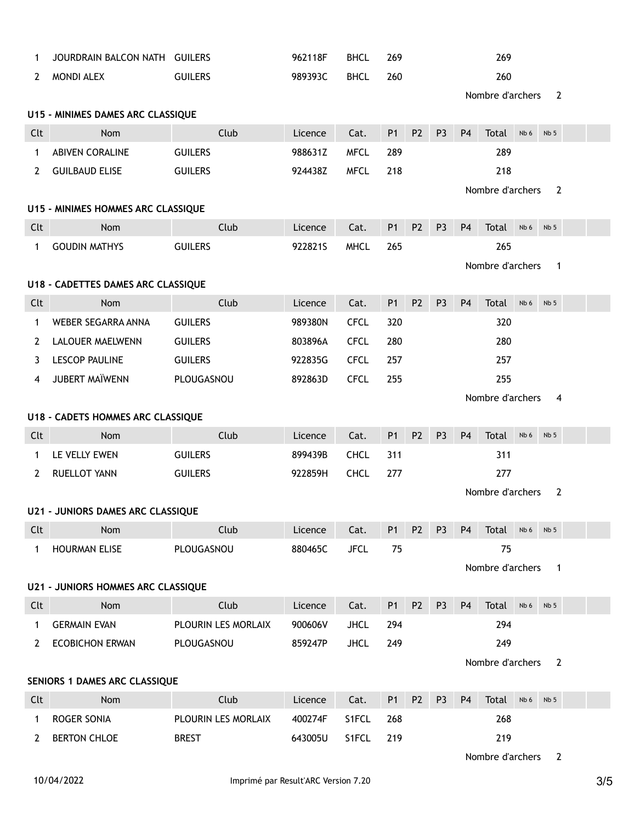| 1            | JOURDRAIN BALCON NATH GUILERS             |                     | 962118F                                | <b>BHCL</b> | 269            |                |                |                | 269              |                 |                 |  |
|--------------|-------------------------------------------|---------------------|----------------------------------------|-------------|----------------|----------------|----------------|----------------|------------------|-----------------|-----------------|--|
| $\mathbf{2}$ | MONDI ALEX                                | <b>GUILERS</b>      | 989393C                                | <b>BHCL</b> | 260            |                |                |                | 260              |                 |                 |  |
|              |                                           |                     |                                        |             |                |                |                |                | Nombre d'archers |                 | 2               |  |
|              | U15 - MINIMES DAMES ARC CLASSIQUE         |                     |                                        |             |                |                |                |                |                  |                 |                 |  |
| Clt          | Nom                                       | Club                | Licence                                | Cat.        | <b>P1</b>      | P <sub>2</sub> | P <sub>3</sub> | P <sub>4</sub> | Total            | Nb <sub>6</sub> | Nb 5            |  |
| 1            | <b>ABIVEN CORALINE</b>                    | <b>GUILERS</b>      | 988631Z                                | <b>MFCL</b> | 289            |                |                |                | 289              |                 |                 |  |
| $2^{\circ}$  | <b>GUILBAUD ELISE</b>                     | <b>GUILERS</b>      | 924438Z                                | <b>MFCL</b> | 218            |                |                |                | 218              |                 |                 |  |
|              |                                           |                     |                                        |             |                |                |                |                | Nombre d'archers |                 | 2               |  |
|              | U15 - MINIMES HOMMES ARC CLASSIQUE        |                     |                                        |             |                |                |                |                |                  |                 |                 |  |
| Clt          | Nom                                       | Club                | Licence                                | Cat.        | P <sub>1</sub> | P <sub>2</sub> | P <sub>3</sub> | P <sub>4</sub> | Total            | Nb 6            | Nb <sub>5</sub> |  |
| $\mathbf 1$  | <b>GOUDIN MATHYS</b>                      | <b>GUILERS</b>      | 922821S                                | <b>MHCL</b> | 265            |                |                |                | 265              |                 |                 |  |
|              |                                           |                     |                                        |             |                |                |                |                | Nombre d'archers |                 | $\mathbf{1}$    |  |
|              | U18 - CADETTES DAMES ARC CLASSIQUE        |                     |                                        |             |                |                |                |                |                  |                 |                 |  |
| Clt          | Nom                                       | Club                | Licence                                | Cat.        | <b>P1</b>      | P <sub>2</sub> | P <sub>3</sub> | P <sub>4</sub> | Total            | Nb 6            | Nb <sub>5</sub> |  |
| $\mathbf{1}$ | WEBER SEGARRA ANNA                        | <b>GUILERS</b>      | 989380N                                | <b>CFCL</b> | 320            |                |                |                | 320              |                 |                 |  |
| 2            | LALOUER MAELWENN                          | <b>GUILERS</b>      | 803896A                                | <b>CFCL</b> | 280            |                |                |                | 280              |                 |                 |  |
| 3            | <b>LESCOP PAULINE</b>                     | <b>GUILERS</b>      | 922835G                                | <b>CFCL</b> | 257            |                |                |                | 257              |                 |                 |  |
| 4            | JUBERT MAÏWENN                            | PLOUGASNOU          | 892863D                                | <b>CFCL</b> | 255            |                |                |                | 255              |                 |                 |  |
|              |                                           |                     |                                        |             |                |                |                |                | Nombre d'archers |                 | 4               |  |
|              | U18 - CADETS HOMMES ARC CLASSIQUE         |                     |                                        |             |                |                |                |                |                  |                 |                 |  |
| Clt          | Nom                                       | Club                | Licence                                | Cat.        | <b>P1</b>      | P <sub>2</sub> | P <sub>3</sub> | P <sub>4</sub> | Total            | Nb 6            | Nb <sub>5</sub> |  |
| $\mathbf 1$  | LE VELLY EWEN                             | <b>GUILERS</b>      | 899439B                                | <b>CHCL</b> | 311            |                |                |                | 311              |                 |                 |  |
| 2            | <b>RUELLOT YANN</b>                       | <b>GUILERS</b>      | 922859H                                | <b>CHCL</b> | 277            |                |                |                | 277              |                 |                 |  |
|              |                                           |                     |                                        |             |                |                |                |                | Nombre d'archers |                 | $\overline{2}$  |  |
|              | <b>U21 - JUNIORS DAMES ARC CLASSIQUE</b>  |                     |                                        |             |                |                |                |                |                  |                 |                 |  |
| Clt          | <b>Example 19 Nom</b>                     | Club                | Licence Cat. P1 P2 P3 P4 Total Nb6 Nb5 |             |                |                |                |                |                  |                 |                 |  |
| $\mathbf 1$  | HOURMAN ELISE                             | PLOUGASNOU          | 880465C                                | <b>JFCL</b> | 75             |                |                |                | 75               |                 |                 |  |
|              |                                           |                     |                                        |             |                |                |                |                | Nombre d'archers |                 | $\overline{1}$  |  |
|              | <b>U21 - JUNIORS HOMMES ARC CLASSIQUE</b> |                     |                                        |             |                |                |                |                |                  |                 |                 |  |
| Clt          | Nom                                       | Club                | Licence                                | Cat.        | <b>P1</b>      | P <sub>2</sub> | P <sub>3</sub> | P <sub>4</sub> | Total            | Nb 6            | Nb <sub>5</sub> |  |
| $\mathbf{1}$ | <b>GERMAIN EVAN</b>                       | PLOURIN LES MORLAIX | 900606V                                | <b>JHCL</b> | 294            |                |                |                | 294              |                 |                 |  |
| $2^{\circ}$  | <b>ECOBICHON ERWAN</b>                    | PLOUGASNOU          | 859247P                                | <b>JHCL</b> | 249            |                |                |                | 249              |                 |                 |  |
|              |                                           |                     |                                        |             |                |                |                |                | Nombre d'archers |                 | $\overline{2}$  |  |
|              | SENIORS 1 DAMES ARC CLASSIQUE             |                     |                                        |             |                |                |                |                |                  |                 |                 |  |
| Clt          | Nom                                       | Club                | Licence                                | Cat.        | P <sub>1</sub> | P <sub>2</sub> | P <sub>3</sub> | P <sub>4</sub> | Total            | Nb 6            | Nb <sub>5</sub> |  |
| 1            | ROGER SONIA                               | PLOURIN LES MORLAIX | 400274F                                | S1FCL       | 268            |                |                |                | 268              |                 |                 |  |
| 2            | <b>BERTON CHLOE</b>                       | <b>BREST</b>        | 643005U                                | S1FCL       | 219            |                |                |                | 219              |                 |                 |  |

Nombre d'archers 2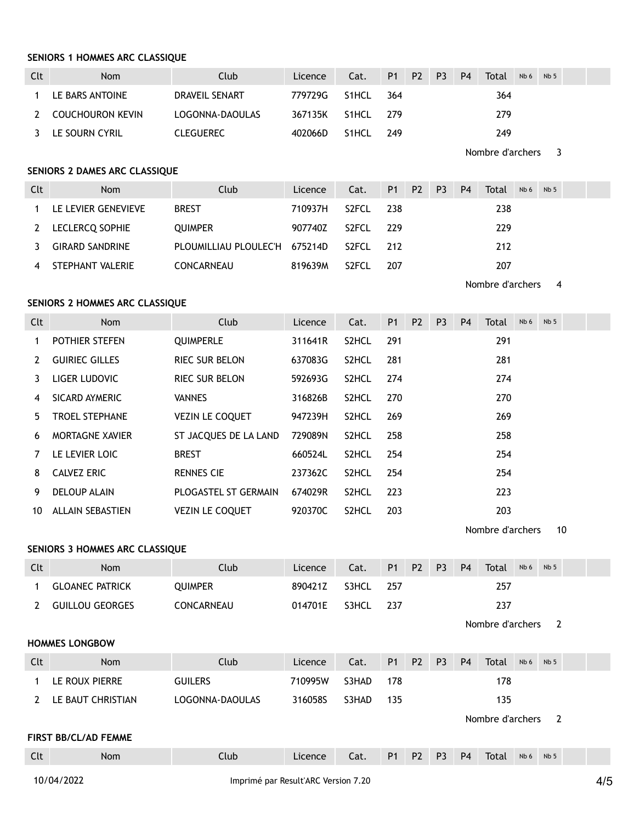### **SENIORS 1 HOMMES ARC CLASSIQUE**

| Clt | <b>Nom</b>       | Club             | Licence | Cat.               |       | P1 P2 P3 |     | P <sub>4</sub> | Total | Nb <sub>6</sub> | Nb <sub>5</sub> |  |
|-----|------------------|------------------|---------|--------------------|-------|----------|-----|----------------|-------|-----------------|-----------------|--|
|     | LE BARS ANTOINE  | DRAVEIL SENART   | 779729G | S <sub>1</sub> HCL | 364   |          |     |                | 364   |                 |                 |  |
| 2   | COUCHOURON KEVIN | LOGONNA-DAOULAS  | 367135K | S1HCL              | - 779 |          | 279 |                |       |                 |                 |  |
|     | LE SOURN CYRIL   | <b>CLEGUEREC</b> | 402066D | S1HCL              | 249   |          |     |                | 249   |                 |                 |  |

Nombre d'archers 3

# **SENIORS 2 DAMES ARC CLASSIQUE**

| Clt | <b>Nom</b>             | Club                          | Licence | Cat.               |      | P1 P2 | P3  | <b>P4</b> | Total | Nb 6 | Nb <sub>5</sub> |  |  |
|-----|------------------------|-------------------------------|---------|--------------------|------|-------|-----|-----------|-------|------|-----------------|--|--|
|     | LE LEVIER GENEVIEVE    | <b>BREST</b>                  | 710937H | S2FCL              | -238 |       |     |           | 238   |      |                 |  |  |
| 2   | LECLERCQ SOPHIE        | <b>OUIMPER</b>                | 907740Z | S <sub>2</sub> FCL | -229 |       | 229 |           |       |      |                 |  |  |
|     | <b>GIRARD SANDRINE</b> | PLOUMILLIAU PLOULEC'H 675214D |         | S2FCL              | 212  |       | 212 |           |       |      |                 |  |  |
|     | STEPHANT VALERIE       | CONCARNEAU                    | 819639M | S <sub>2</sub> FCL | 207  |       | 207 |           |       |      |                 |  |  |

Nombre d'archers 4

# **SENIORS 2 HOMMES ARC CLASSIQUE**

| Clt | <b>Nom</b>            | Club                   | Licence | Cat.               | <b>P1</b> | P <sub>2</sub> | P <sub>3</sub> | P <sub>4</sub> | Total | Nb <sub>6</sub> | Nb <sub>5</sub> |  |  |
|-----|-----------------------|------------------------|---------|--------------------|-----------|----------------|----------------|----------------|-------|-----------------|-----------------|--|--|
| 1   | <b>POTHIER STEFEN</b> | <b>QUIMPERLE</b>       | 311641R | S <sub>2</sub> HCL | 291       |                |                |                | 291   |                 |                 |  |  |
| 2   | <b>GUIRIEC GILLES</b> | <b>RIEC SUR BELON</b>  | 637083G | S <sub>2</sub> HCL | 281       |                |                |                | 281   |                 |                 |  |  |
| 3.  | LIGER LUDOVIC         | <b>RIEC SUR BELON</b>  | 592693G | S2HCL              | 274       |                |                |                | 274   |                 |                 |  |  |
| 4   | SICARD AYMERIC        | <b>VANNES</b>          | 316826B | S <sub>2</sub> HCL | 270       |                |                |                |       |                 |                 |  |  |
| 5.  | <b>TROEL STEPHANE</b> | <b>VEZIN LE COQUET</b> | 947239H | S <sub>2</sub> HCL | 269       |                |                |                |       |                 |                 |  |  |
| 6   | MORTAGNE XAVIER       | ST JACQUES DE LA LAND  | 729089N | S <sub>2</sub> HCL | 258       |                |                |                | 258   |                 |                 |  |  |
| 7   | LE LEVIER LOIC        | <b>BREST</b>           | 660524L | S <sub>2</sub> HCL | 254       |                |                |                | 254   |                 |                 |  |  |
| 8   | <b>CALVEZ ERIC</b>    | <b>RENNES CIE</b>      | 237362C | S <sub>2</sub> HCL | 254       |                | 254            |                |       |                 |                 |  |  |
| 9   | <b>DELOUP ALAIN</b>   | PLOGASTEL ST GERMAIN   | 674029R | S <sub>2</sub> HCL | 223       |                | 223            |                |       |                 |                 |  |  |
| 10  | ALLAIN SEBASTIEN      | <b>VEZIN LE COQUET</b> | 920370C | S <sub>2</sub> HCL | 203       |                | 203            |                |       |                 |                 |  |  |

Nombre d'archers 10

# **SENIORS 3 HOMMES ARC CLASSIQUE**

| Clt | <b>Nom</b>             | Club           | Licence | Cat.  |     | P1 P2 P3 | <b>P4</b> | Total | Nb 6 | Nb <sub>5</sub> |  |
|-----|------------------------|----------------|---------|-------|-----|----------|-----------|-------|------|-----------------|--|
|     | <b>GLOANEC PATRICK</b> | <b>OUIMPER</b> | 890421Z | S3HCL | 257 |          |           | 257   |      |                 |  |
|     | GUILLOU GEORGES        | CONCARNEAU     | 014701E | S3HCL | 237 |          |           | 237   |      |                 |  |

Nombre d'archers 2

#### **HOMMES LONGBOW**

| Clt | <b>Nom</b>                  | Club            | Licence | Cat.  | <b>P1</b> | P <sub>2</sub> | P <sub>3</sub>          | P <sub>4</sub> | Total | Nb <sub>6</sub> | Nb <sub>5</sub> |  |  |  |
|-----|-----------------------------|-----------------|---------|-------|-----------|----------------|-------------------------|----------------|-------|-----------------|-----------------|--|--|--|
|     | LE ROUX PIERRE              | <b>GUILERS</b>  | 710995W | S3HAD | 178       |                |                         |                | 178   |                 |                 |  |  |  |
|     | LE BAUT CHRISTIAN           | LOGONNA-DAOULAS | 316058S | S3HAD | 135       |                |                         | 135            |       |                 |                 |  |  |  |
|     |                             |                 |         |       |           |                | Nombre d'archers<br>- 2 |                |       |                 |                 |  |  |  |
|     | <b>FIRST BB/CL/AD FEMME</b> |                 |         |       |           |                |                         |                |       |                 |                 |  |  |  |
| Clt | <b>Nom</b>                  | Club            | Licence | Cat.  | <b>P1</b> | P <sub>2</sub> | P <sub>3</sub>          | P <sub>4</sub> | Total | Nb <sub>6</sub> | Nb <sub>5</sub> |  |  |  |